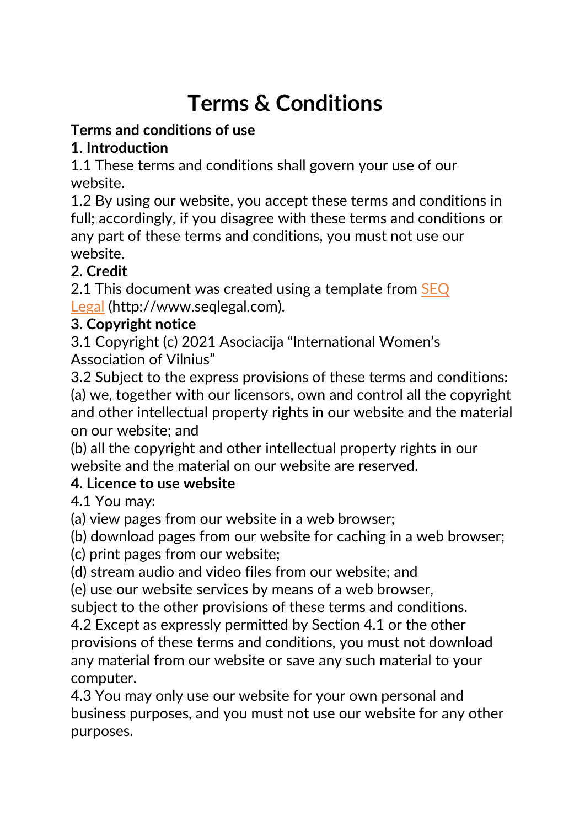# & Condition**Terms & Conditions**

## **Terms and conditions of use**

## **1. Introduction**

1.1 These terms and conditions shall govern your use of our website.

1.2 By using our website, you accept these terms and conditions in full; accordingly, if you disagree with these terms and conditions or any part of these terms and conditions, you must not use our website.

# **2. Credit**

2.1 This document was created using a template from [SEQ](http://www.seqlegal.com/) [Legal](http://www.seqlegal.com/) (http://www.seqlegal.com).

## **3. Copyright notice**

3.1 Copyright (c) 2021 Asociacija "International Women's Association of Vilnius"

3.2 Subject to the express provisions of these terms and conditions: (a) we, together with our licensors, own and control all the copyright and other intellectual property rights in our website and the material on our website; and

(b) all the copyright and other intellectual property rights in our website and the material on our website are reserved.

# **4. Licence to use website**

4.1 You may:

(a) view pages from our website in a web browser;

(b) download pages from our website for caching in a web browser;

(c) print pages from our website;

(d) stream audio and video files from our website; and

(e) use our website services by means of a web browser,

subject to the other provisions of these terms and conditions.

4.2 Except as expressly permitted by Section 4.1 or the other provisions of these terms and conditions, you must not download any material from our website or save any such material to your computer.

4.3 You may only use our website for your own personal and business purposes, and you must not use our website for any other purposes.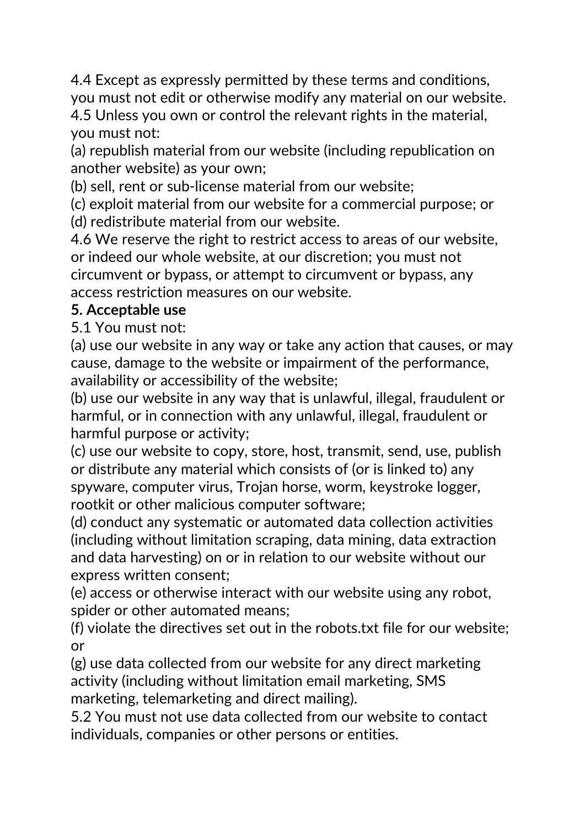4.4 Except as expressly permitted by these terms and conditions, you must not edit or otherwise modify any material on our website. 4.5 Unless you own or control the relevant rights in the material, you must not:

(a) republish material from our website (including republication on another website) as your own;

(b) sell, rent or sub-license material from our website;

(c) exploit material from our website for a commercial purpose; or (d) redistribute material from our website.

4.6 We reserve the right to restrict access to areas of our website, or indeed our whole website, at our discretion; you must not circumvent or bypass, or attempt to circumvent or bypass, any access restriction measures on our website.

#### **5. Acceptable use**

5.1 You must not:

(a) use our website in any way or take any action that causes, or may cause, damage to the website or impairment of the performance, availability or accessibility of the website;

(b) use our website in any way that is unlawful, illegal, fraudulent or harmful, or in connection with any unlawful, illegal, fraudulent or harmful purpose or activity;

(c) use our website to copy, store, host, transmit, send, use, publish or distribute any material which consists of (or is linked to) any spyware, computer virus, Trojan horse, worm, keystroke logger, rootkit or other malicious computer software;

(d) conduct any systematic or automated data collection activities (including without limitation scraping, data mining, data extraction and data harvesting) on or in relation to our website without our express written consent;

(e) access or otherwise interact with our website using any robot, spider or other automated means;

(f) violate the directives set out in the robots.txt file for our website; or

(g) use data collected from our website for any direct marketing activity (including without limitation email marketing, SMS marketing, telemarketing and direct mailing).

5.2 You must not use data collected from our website to contact individuals, companies or other persons or entities.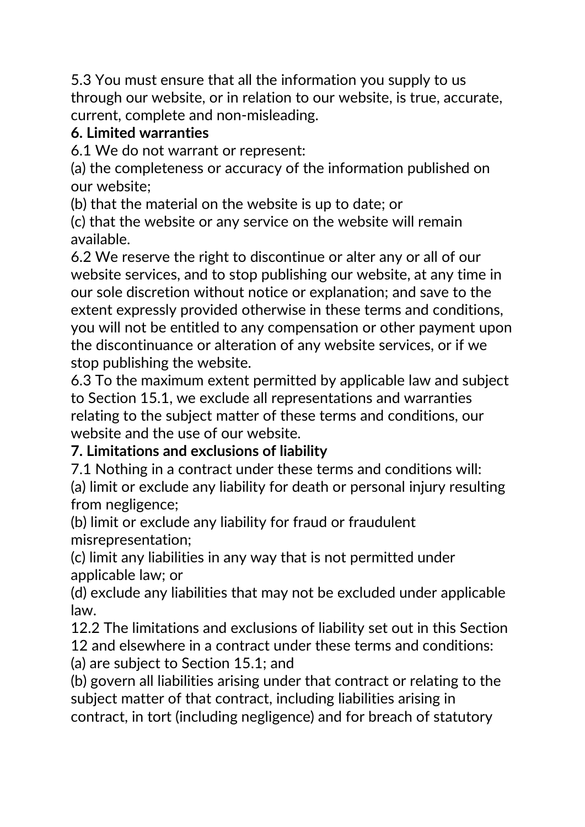5.3 You must ensure that all the information you supply to us through our website, or in relation to our website, is true, accurate, current, complete and non-misleading.

#### **6. Limited warranties**

6.1 We do not warrant or represent:

(a) the completeness or accuracy of the information published on our website;

(b) that the material on the website is up to date; or

(c) that the website or any service on the website will remain available.

6.2 We reserve the right to discontinue or alter any or all of our website services, and to stop publishing our website, at any time in our sole discretion without notice or explanation; and save to the extent expressly provided otherwise in these terms and conditions, you will not be entitled to any compensation or other payment upon the discontinuance or alteration of any website services, or if we stop publishing the website.

6.3 To the maximum extent permitted by applicable law and subject to Section 15.1, we exclude all representations and warranties relating to the subject matter of these terms and conditions, our website and the use of our website.

# **7. Limitations and exclusions of liability**

7.1 Nothing in a contract under these terms and conditions will: (a) limit or exclude any liability for death or personal injury resulting from negligence;

(b) limit or exclude any liability for fraud or fraudulent misrepresentation;

(c) limit any liabilities in any way that is not permitted under applicable law; or

(d) exclude any liabilities that may not be excluded under applicable law.

12.2 The limitations and exclusions of liability set out in this Section 12 and elsewhere in a contract under these terms and conditions:

(a) are subject to Section 15.1; and

(b) govern all liabilities arising under that contract or relating to the subject matter of that contract, including liabilities arising in contract, in tort (including negligence) and for breach of statutory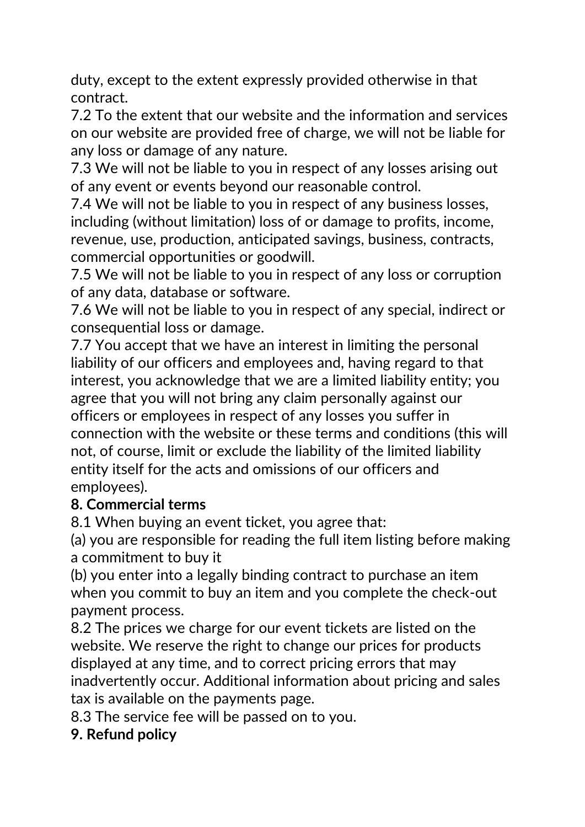duty, except to the extent expressly provided otherwise in that contract.

7.2 To the extent that our website and the information and services on our website are provided free of charge, we will not be liable for any loss or damage of any nature.

7.3 We will not be liable to you in respect of any losses arising out of any event or events beyond our reasonable control.

7.4 We will not be liable to you in respect of any business losses, including (without limitation) loss of or damage to profits, income, revenue, use, production, anticipated savings, business, contracts, commercial opportunities or goodwill.

7.5 We will not be liable to you in respect of any loss or corruption of any data, database or software.

7.6 We will not be liable to you in respect of any special, indirect or consequential loss or damage.

7.7 You accept that we have an interest in limiting the personal liability of our officers and employees and, having regard to that interest, you acknowledge that we are a limited liability entity; you agree that you will not bring any claim personally against our officers or employees in respect of any losses you suffer in connection with the website or these terms and conditions (this will not, of course, limit or exclude the liability of the limited liability entity itself for the acts and omissions of our officers and employees).

#### **8. Commercial terms**

8.1 When buying an event ticket, you agree that:

(a) you are responsible for reading the full item listing before making a commitment to buy it

(b) you enter into a legally binding contract to purchase an item when you commit to buy an item and you complete the check-out payment process.

8.2 The prices we charge for our event tickets are listed on the website. We reserve the right to change our prices for products displayed at any time, and to correct pricing errors that may inadvertently occur. Additional information about pricing and sales tax is available on the payments page.

8.3 The service fee will be passed on to you.

#### **9. Refund policy**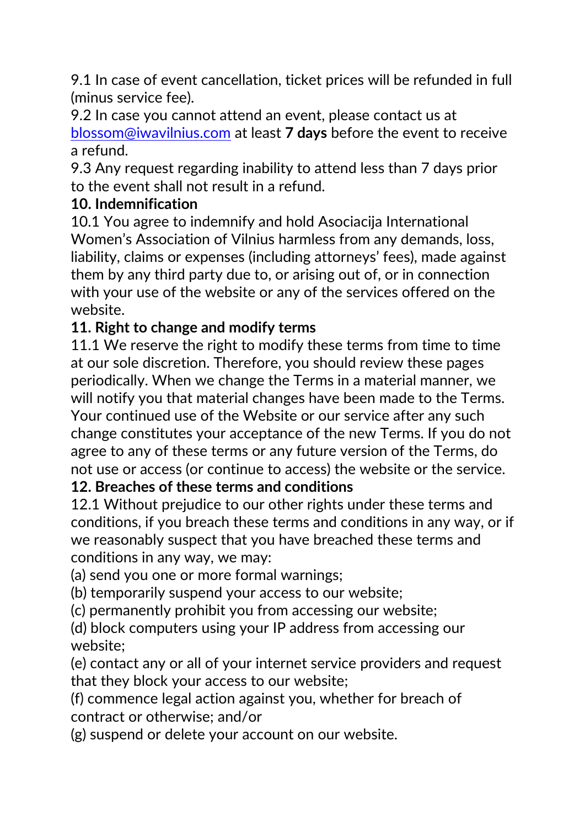9.1 In case of event cancellation, ticket prices will be refunded in full (minus service fee).

9.2 In case you cannot attend an event, please contact us at [blossom@iwavilnius.com](mailto:blossom@iwavilnius.com) at least **7 days** before the event to receive a refund.

9.3 Any request regarding inability to attend less than 7 days prior to the event shall not result in a refund.

#### **10. Indemnification**

10.1 You agree to indemnify and hold Asociacija International Women's Association of Vilnius harmless from any demands, loss, liability, claims or expenses (including attorneys' fees), made against them by any third party due to, or arising out of, or in connection with your use of the website or any of the services offered on the website.

#### **11. Right to change and modify terms**

11.1 We reserve the right to modify these terms from time to time at our sole discretion. Therefore, you should review these pages periodically. When we change the Terms in a material manner, we will notify you that material changes have been made to the Terms. Your continued use of the Website or our service after any such change constitutes your acceptance of the new Terms. If you do not agree to any of these terms or any future version of the Terms, do not use or access (or continue to access) the website or the service.

#### **12. Breaches of these terms and conditions**

12.1 Without prejudice to our other rights under these terms and conditions, if you breach these terms and conditions in any way, or if we reasonably suspect that you have breached these terms and conditions in any way, we may:

(a) send you one or more formal warnings;

(b) temporarily suspend your access to our website;

(c) permanently prohibit you from accessing our website;

(d) block computers using your IP address from accessing our website;

(e) contact any or all of your internet service providers and request that they block your access to our website;

(f) commence legal action against you, whether for breach of contract or otherwise; and/or

(g) suspend or delete your account on our website.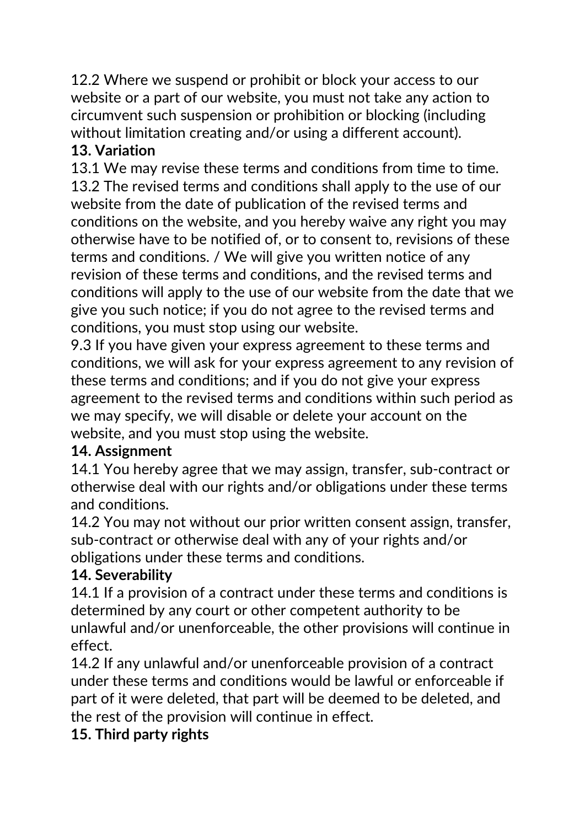12.2 Where we suspend or prohibit or block your access to our website or a part of our website, you must not take any action to circumvent such suspension or prohibition or blocking (including without limitation creating and/or using a different account).

#### **13. Variation**

13.1 We may revise these terms and conditions from time to time. 13.2 The revised terms and conditions shall apply to the use of our website from the date of publication of the revised terms and conditions on the website, and you hereby waive any right you may otherwise have to be notified of, or to consent to, revisions of these terms and conditions. / We will give you written notice of any revision of these terms and conditions, and the revised terms and conditions will apply to the use of our website from the date that we give you such notice; if you do not agree to the revised terms and conditions, you must stop using our website.

9.3 If you have given your express agreement to these terms and conditions, we will ask for your express agreement to any revision of these terms and conditions; and if you do not give your express agreement to the revised terms and conditions within such period as we may specify, we will disable or delete your account on the website, and you must stop using the website.

#### **14. Assignment**

14.1 You hereby agree that we may assign, transfer, sub-contract or otherwise deal with our rights and/or obligations under these terms and conditions.

14.2 You may not without our prior written consent assign, transfer, sub-contract or otherwise deal with any of your rights and/or obligations under these terms and conditions.

## **14. Severability**

14.1 If a provision of a contract under these terms and conditions is determined by any court or other competent authority to be unlawful and/or unenforceable, the other provisions will continue in effect.

14.2 If any unlawful and/or unenforceable provision of a contract under these terms and conditions would be lawful or enforceable if part of it were deleted, that part will be deemed to be deleted, and the rest of the provision will continue in effect.

## **15. Third party rights**